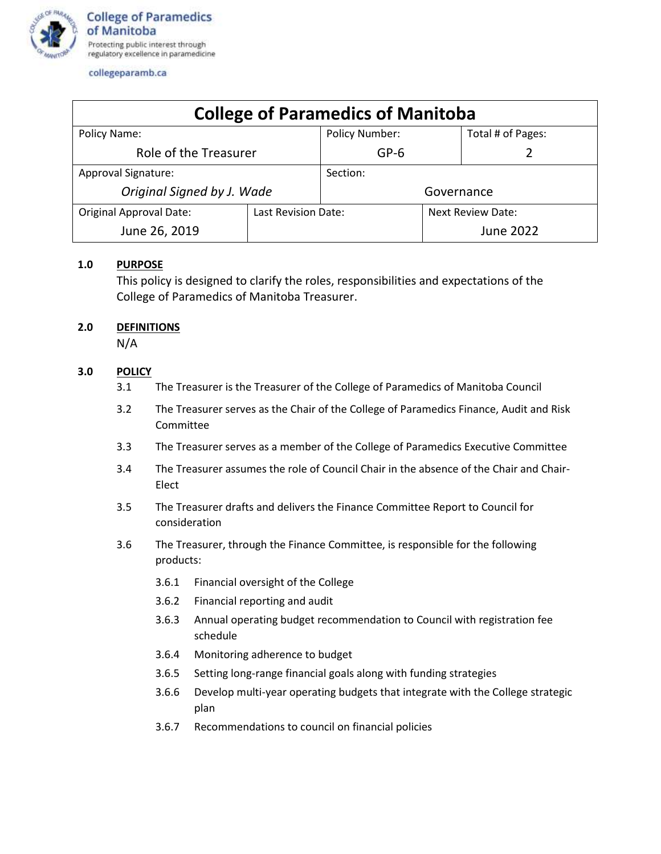

collegeparamb.ca

| <b>College of Paramedics of Manitoba</b> |                     |                       |                          |                   |
|------------------------------------------|---------------------|-----------------------|--------------------------|-------------------|
| Policy Name:                             |                     | <b>Policy Number:</b> |                          | Total # of Pages: |
| Role of the Treasurer                    |                     | $GP-6$                |                          |                   |
| Approval Signature:                      |                     | Section:              |                          |                   |
| Original Signed by J. Wade               |                     | Governance            |                          |                   |
| <b>Original Approval Date:</b>           | Last Revision Date: |                       | <b>Next Review Date:</b> |                   |
| June 26, 2019                            |                     |                       |                          | <b>June 2022</b>  |

## **1.0 PURPOSE**

This policy is designed to clarify the roles, responsibilities and expectations of the College of Paramedics of Manitoba Treasurer.

## **2.0 DEFINITIONS**

N/A

## **3.0 POLICY**

- 3.1 The Treasurer is the Treasurer of the College of Paramedics of Manitoba Council
- 3.2 The Treasurer serves as the Chair of the College of Paramedics Finance, Audit and Risk **Committee**
- 3.3 The Treasurer serves as a member of the College of Paramedics Executive Committee
- 3.4 The Treasurer assumes the role of Council Chair in the absence of the Chair and Chair-Elect
- 3.5 The Treasurer drafts and delivers the Finance Committee Report to Council for consideration
- 3.6 The Treasurer, through the Finance Committee, is responsible for the following products:
	- 3.6.1 Financial oversight of the College
	- 3.6.2 Financial reporting and audit
	- 3.6.3 Annual operating budget recommendation to Council with registration fee schedule
	- 3.6.4 Monitoring adherence to budget
	- 3.6.5 Setting long-range financial goals along with funding strategies
	- 3.6.6 Develop multi-year operating budgets that integrate with the College strategic plan
	- 3.6.7 Recommendations to council on financial policies